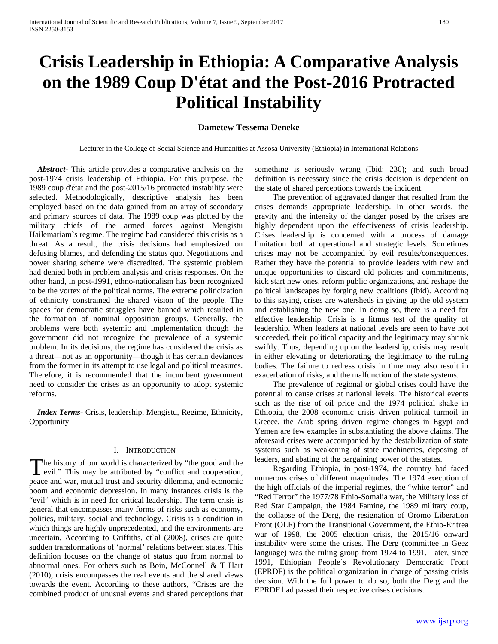# **Crisis Leadership in Ethiopia: A Comparative Analysis on the 1989 Coup D'état and the Post-2016 Protracted Political Instability**

# **Dametew Tessema Deneke**

Lecturer in the College of Social Science and Humanities at Assosa University (Ethiopia) in International Relations

 *Abstract***-** This article provides a comparative analysis on the post-1974 crisis leadership of Ethiopia. For this purpose, the 1989 coup d'état and the post-2015/16 protracted instability were selected. Methodologically, descriptive analysis has been employed based on the data gained from an array of secondary and primary sources of data. The 1989 coup was plotted by the military chiefs of the armed forces against Mengistu Hailemariam`s regime. The regime had considered this crisis as a threat. As a result, the crisis decisions had emphasized on defusing blames, and defending the status quo. Negotiations and power sharing scheme were discredited. The systemic problem had denied both in problem analysis and crisis responses. On the other hand, in post-1991, ethno-nationalism has been recognized to be the vortex of the political norms. The extreme politicization of ethnicity constrained the shared vision of the people. The spaces for democratic struggles have banned which resulted in the formation of nominal opposition groups. Generally, the problems were both systemic and implementation though the government did not recognize the prevalence of a systemic problem. In its decisions, the regime has considered the crisis as a threat—not as an opportunity—though it has certain deviances from the former in its attempt to use legal and political measures. Therefore, it is recommended that the incumbent government need to consider the crises as an opportunity to adopt systemic reforms.

 *Index Terms*- Crisis, leadership, Mengistu, Regime, Ethnicity, **Opportunity** 

### I. INTRODUCTION

<span id="page-0-0"></span>The history of our world is characterized by "the good and the The history of our world is characterized by "the good and the evil." This may be attributed by "conflict and coperation, peace and war, mutual trust and security dilemma, and economic boom and economic depression. In many instances crisis is the "evil" which is in need for critical leadership. The term crisis is general that encompasses many forms of risks such as economy, politics, military, social and technology. Crisis is a condition in which things are highly unprecedented, and the environments are uncertain. According to Griffiths, et`al (2008), crises are quite sudden transformations of 'normal' relations between states. This definition focuses on the change of status quo from normal to abnormal ones. For others such as Boin, McConnell & T Hart (2010), crisis encompasses the real events and the shared views towards the event. According to these authors, "Crises are the combined product of unusual events and shared perceptions that

something is seriously wrong (Ibid: 230); and such broad definition is necessary since the crisis decision is dependent on the state of shared perceptions towards the incident.

 The prevention of aggravated danger that resulted from the crises demands appropriate leadership. In other words, the gravity and the intensity of the danger posed by the crises are highly dependent upon the effectiveness of crisis leadership. Crises leadership is concerned with a process of damage limitation both at operational and strategic levels. Sometimes crises may not be accompanied by evil results/consequences. Rather they have the potential to provide leaders with new and unique opportunities to discard old policies and commitments, kick start new ones, reform public organizations, and reshape the political landscapes by forging new coalitions (Ibid). According to this saying, crises are watersheds in giving up the old system and establishing the new one. In doing so, there is a need for effective leadership. Crisis is a litmus test of the quality of leadership. When leaders at national levels are seen to have not succeeded, their political capacity and the legitimacy may shrink swiftly. Thus, depending up on the leadership, crisis may result in either elevating or deteriorating the legitimacy to the ruling bodies. The failure to redress crisis in time may also result in exacerbation of risks, and the malfunction of the state systems.

 The prevalence of regional or global crises could have the potential to cause crises at national levels. The historical events such as the rise of oil price and the 1974 political shake in Ethiopia, the 2008 economic crisis driven political turmoil in Greece, the Arab spring driven regime changes in Egypt and Yemen are few examples in substantiating the above claims. The aforesaid crises were accompanied by the destabilization of state systems such as weakening of state machineries, deposing of leaders, and abating of the bargaining power of the states.

 Regarding Ethiopia, in post-1974, the country had faced numerous crises of different magnitudes. The 1974 execution of the high officials of the imperial regimes, the "white terror" and "Red Terror" the 1977/78 Ethio-Somalia war, the Military loss of Red Star Campaign, the 1984 Famine, the 1989 military coup, the collapse of the Derg, the resignation of Oromo Liberation Front (OLF) from the Transitional Government, the Ethio-Eritrea war of 1998, the 2005 election crisis, the 2015/16 onward instability were some the crises. The Derg (committee in Geez language) was the ruling group from 1974 to 1991. Later, since 1991, Ethiopian People`s Revolutionary Democratic Front (EPRDF) is the political organization in charge of passing crisis decision. With the full power to do so, both the Derg and the EPRDF had passed their respective crises decisions.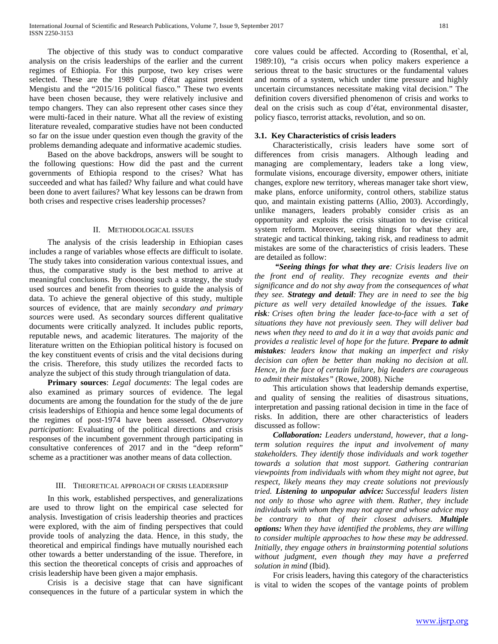The objective of this study was to conduct comparative analysis on the crisis leaderships of the earlier and the current regimes of Ethiopia. For this purpose, two key crises were selected. These are the 1989 Coup d'état against president Mengistu and the "2015/16 political fiasco." These two events have been chosen because, they were relatively inclusive and tempo changers. They can also represent other cases since they were multi-faced in their nature. What all the review of existing literature revealed, comparative studies have not been conducted so far on the issue under question even though the gravity of the problems demanding adequate and informative academic studies.

 Based on the above backdrops, answers will be sought to the following questions: How did the past and the current governments of Ethiopia respond to the crises? What has succeeded and what has failed? Why failure and what could have been done to avert failures? What key lessons can be drawn from both crises and respective crises leadership processes?

### II. METHODOLOGICAL ISSUES

 The analysis of the crisis leadership in Ethiopian cases includes a range of variables whose effects are difficult to isolate. The study takes into consideration various contextual issues, and thus, the comparative study is the best method to arrive at meaningful conclusions. By choosing such a strategy, the study used sources and benefit from theories to guide the analysis of data. To achieve the general objective of this study, multiple sources of evidence, that are mainly *secondary and primary sources* were used. As secondary sources different qualitative documents were critically analyzed. It includes public reports, reputable news, and academic literatures. The majority of the literature written on the Ethiopian political history is focused on the key constituent events of crisis and the vital decisions during the crisis. Therefore, this study utilizes the recorded facts to analyze the subject of this study through triangulation of data.

 **Primary sources**: *Legal documents*: The legal codes are also examined as primary sources of evidence. The legal documents are among the foundation for the study of the de jure crisis leaderships of Ethiopia and hence some legal documents of the regimes of post-1974 have been assessed. *Observatory participation*: Evaluating of the political directions and crisis responses of the incumbent government through participating in consultative conferences of 2017 and in the "deep reform" scheme as a practitioner was another means of data collection.

### III. THEORETICAL APPROACH OF CRISIS LEADERSHIP

 In this work, established perspectives, and generalizations are used to throw light on the empirical case selected for analysis. Investigation of crisis leadership theories and practices were explored, with the aim of finding perspectives that could provide tools of analyzing the data. Hence, in this study, the theoretical and empirical findings have mutually nourished each other towards a better understanding of the issue. Therefore, in this section the theoretical concepts of crisis and approaches of crisis leadership have been given a major emphasis.

 Crisis is a decisive stage that can have significant consequences in the future of a particular system in which the core values could be affected. According to (Rosenthal, et`al, 1989:10), "a crisis occurs when policy makers experience a serious threat to the basic structures or the fundamental values and norms of a system, which under time pressure and highly uncertain circumstances necessitate making vital decision." The definition covers diversified phenomenon of crisis and works to deal on the crisis such as coup d'état, environmental disaster, policy fiasco, terrorist attacks, revolution, and so on.

### **3.1. Key Characteristics of crisis leaders**

 Characteristically, crisis leaders have some sort of differences from crisis managers. Although leading and managing are complementary, leaders take a long view, formulate visions, encourage diversity, empower others, initiate changes, explore new territory, whereas manager take short view, make plans, enforce uniformity, control others, stabilize status quo, and maintain existing patterns (Allio, 2003). Accordingly, unlike managers, leaders probably consider crisis as an opportunity and exploits the crisis situation to devise critical system reform. Moreover, seeing things for what they are, strategic and tactical thinking, taking risk, and readiness to admit mistakes are some of the characteristics of crisis leaders. These are detailed as follow:

 *"Seeing things for what they are: Crisis leaders live on the front end of reality. They recognize events and their significance and do not shy away from the consequences of what they see. Strategy and detail: They are in need to see the big picture as well very detailed knowledge of the issues. Take risk: Crises often bring the leader face-to-face with a set of situations they have not previously seen. They will deliver bad news when they need to and do it in a way that avoids panic and provides a realistic level of hope for the future. Prepare to admit mistakes: leaders know that making an imperfect and risky decision can often be better than making no decision at all. Hence, in the face of certain failure, big leaders are courageous to admit their mistakes"* (Rowe, 2008). Niche

 This articulation shows that leadership demands expertise, and quality of sensing the realities of disastrous situations, interpretation and passing rational decision in time in the face of risks. In addition, there are other characteristics of leaders discussed as follow:

 *Collaboration: Leaders understand, however, that a longterm solution requires the input and involvement of many stakeholders. They identify those individuals and work together towards a solution that most support. Gathering contrarian viewpoints from individuals with whom they might not agree, but respect, likely means they may create solutions not previously tried. Listening to unpopular advice: Successful leaders listen not only to those who agree with them. Rather, they include individuals with whom they may not agree and whose advice may be contrary to that of their closest advisers. Multiple options: When they have identified the problems, they are willing to consider multiple approaches to how these may be addressed. Initially, they engage others in brainstorming potential solutions without judgment, even though they may have a preferred solution in mind* (Ibid).

 For crisis leaders, having this category of the characteristics is vital to widen the scopes of the vantage points of problem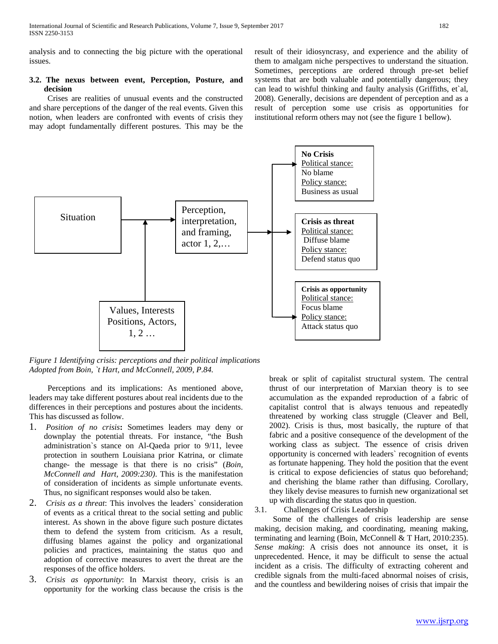analysis and to connecting the big picture with the operational issues.

# **3.2. The nexus between event, Perception, Posture, and decision**

 Crises are realities of unusual events and the constructed and share perceptions of the danger of the real events. Given this notion, when leaders are confronted with events of crisis they may adopt fundamentally different postures. This may be the result of their idiosyncrasy, and experience and the ability of them to amalgam niche perspectives to understand the situation. Sometimes, perceptions are ordered through pre-set belief systems that are both valuable and potentially dangerous; they can lead to wishful thinking and faulty analysis (Griffiths, et`al, 2008). Generally, decisions are dependent of perception and as a result of perception some use crisis as opportunities for institutional reform others may not (see the figure 1 bellow).



*Figure 1 Identifying crisis: perceptions and their political implications Adopted from Boin, `t Hart, and McConnell, 2009, P.84.*

 Perceptions and its implications: As mentioned above, leaders may take different postures about real incidents due to the differences in their perceptions and postures about the incidents. This has discussed as follow.

- 1. *Position of no crisis***:** Sometimes leaders may deny or downplay the potential threats. For instance, "the Bush administration`s stance on Al-Qaeda prior to 9/11, levee protection in southern Louisiana prior Katrina, or climate change- the message is that there is no crisis" (*Boin, McConnell and Hart, 2009:230)*. This is the manifestation of consideration of incidents as simple unfortunate events. Thus, no significant responses would also be taken.
- 2. *Crisis as a threat*: This involves the leaders` consideration of events as a critical threat to the social setting and public interest. As shown in the above figure such posture dictates them to defend the system from criticism. As a result, diffusing blames against the policy and organizational policies and practices, maintaining the status quo and adoption of corrective measures to avert the threat are the responses of the office holders.
- 3. *Crisis as opportunity*: In Marxist theory, crisis is an opportunity for the working class because the crisis is the

break or split of capitalist structural system. The central thrust of our interpretation of Marxian theory is to see accumulation as the expanded reproduction of a fabric of capitalist control that is always tenuous and repeatedly threatened by working class struggle (Cleaver and Bell, 2002). Crisis is thus, most basically, the rupture of that fabric and a positive consequence of the development of the working class as subject. The essence of crisis driven opportunity is concerned with leaders` recognition of events as fortunate happening. They hold the position that the event is critical to expose deficiencies of status quo beforehand; and cherishing the blame rather than diffusing. Corollary, they likely devise measures to furnish new organizational set up with discarding the status quo in question.

3.1. Challenges of Crisis Leadership

 Some of the challenges of crisis leadership are sense making, decision making, and coordinating, meaning making, terminating and learning (Boin, McConnell & T Hart, 2010:235). *Sense making*: A crisis does not announce its onset, it is unprecedented. Hence, it may be difficult to sense the actual incident as a crisis. The difficulty of extracting coherent and credible signals from the multi-faced abnormal noises of crisis, and the countless and bewildering noises of crisis that impair the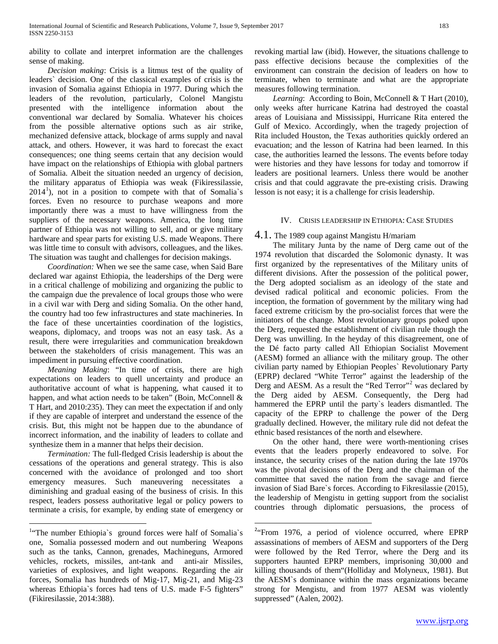ability to collate and interpret information are the challenges sense of making.

 *Decision making*: Crisis is a litmus test of the quality of leaders` decision. One of the classical examples of crisis is the invasion of Somalia against Ethiopia in 1977. During which the leaders of the revolution, particularly, Colonel Mangistu presented with the intelligence information about the conventional war declared by Somalia. Whatever his choices from the possible alternative options such as air strike, mechanized defensive attack, blockage of arms supply and naval attack, and others. However, it was hard to forecast the exact consequences; one thing seems certain that any decision would have impact on the relationships of Ethiopia with global partners of Somalia. Albeit the situation needed an urgency of decision, the military apparatus of Ethiopia was weak (Fikiressilassie,  $2014<sup>1</sup>$  $2014<sup>1</sup>$  $2014<sup>1</sup>$ ), not in a position to compete with that of Somalia's forces. Even no resource to purchase weapons and more importantly there was a must to have willingness from the suppliers of the necessary weapons. America, the long time partner of Ethiopia was not willing to sell, and or give military hardware and spear parts for existing U.S. made Weapons. There was little time to consult with advisors, colleagues, and the likes. The situation was taught and challenges for decision makings.

 *Coordination:* When we see the same case, when Said Bare declared war against Ethiopia, the leaderships of the Derg were in a critical challenge of mobilizing and organizing the public to the campaign due the prevalence of local groups those who were in a civil war with Derg and siding Somalia. On the other hand, the country had too few infrastructures and state machineries. In the face of these uncertainties coordination of the logistics, weapons, diplomacy, and troops was not an easy task. As a result, there were irregularities and communication breakdown between the stakeholders of crisis management. This was an impediment in pursuing effective coordination.

 *Meaning Making*: "In time of crisis, there are high expectations on leaders to quell uncertainty and produce an authoritative account of what is happening, what caused it to happen, and what action needs to be taken" (Boin, McConnell & T Hart, and 2010:235). They can meet the expectation if and only if they are capable of interpret and understand the essence of the crisis. But, this might not be happen due to the abundance of incorrect information, and the inability of leaders to collate and synthesize them in a manner that helps their decision.

 *Termination:* The full-fledged Crisis leadership is about the cessations of the operations and general strategy. This is also concerned with the avoidance of prolonged and too short emergency measures. Such maneuvering necessitates a diminishing and gradual easing of the business of crisis. In this respect, leaders possess authoritative legal or policy powers to terminate a crisis, for example, by ending state of emergency or

revoking martial law (ibid). However, the situations challenge to pass effective decisions because the complexities of the environment can constrain the decision of leaders on how to terminate, when to terminate and what are the appropriate measures following termination.

Learning: According to Boin, McConnell & T Hart (2010), only weeks after hurricane Katrina had destroyed the coastal areas of Louisiana and Mississippi, Hurricane Rita entered the Gulf of Mexico. Accordingly, when the tragedy projection of Rita included Houston, the Texas authorities quickly ordered an evacuation; and the lesson of Katrina had been learned. In this case, the authorities learned the lessons. The events before today were histories and they have lessons for today and tomorrow if leaders are positional learners. Unless there would be another crisis and that could aggravate the pre-existing crisis. Drawing lesson is not easy; it is a challenge for crisis leadership.

# IV. CRISIS LEADERSHIP IN ETHIOPIA: CASE STUDIES

# 4.1. The 1989 coup against Mangistu H/mariam

 The military Junta by the name of Derg came out of the 1974 revolution that discarded the Solomonic dynasty. It was first organized by the representatives of the Military units of different divisions. After the possession of the political power, the Derg adopted socialism as an ideology of the state and devised radical political and economic policies. From the inception, the formation of government by the military wing had faced extreme criticism by the pro-socialist forces that were the initiators of the change. Most revolutionary groups poked upon the Derg, requested the establishment of civilian rule though the Derg was unwilling. In the heyday of this disagreement, one of the Dé facto party called All Ethiopian Socialist Movement (AESM) formed an alliance with the military group. The other civilian party named by Ethiopian Peoples` Revolutionary Party (EPRP) declared "White Terror" against the leadership of the Derg and AESM. As a result the "Red Terror"<sup>[2](#page-3-0)</sup> was declared by the Derg aided by AESM. Consequently, the Derg had hammered the EPRP until the party`s leaders dismantled. The capacity of the EPRP to challenge the power of the Derg gradually declined. However, the military rule did not defeat the ethnic based resistances of the north and elsewhere.

 On the other hand, there were worth-mentioning crises events that the leaders properly endeavored to solve. For instance, the security crises of the nation during the late 1970s was the pivotal decisions of the Derg and the chairman of the committee that saved the nation from the savage and fierce invasion of Siad Bare`s forces. According to Fikresilassie (2015), the leadership of Mengistu in getting support from the socialist countries through diplomatic persuasions, the process of

<span id="page-3-1"></span><span id="page-3-0"></span> $\frac{1}{1}$ <sup>1</sup>"The number Ethiopia's ground forces were half of Somalia's one, Somalia possessed modern and out numbering Weapons such as the tanks, Cannon, grenades, Machineguns, Armored vehicles, rockets, missiles, ant-tank and anti-air Missiles, varieties of explosives, and light weapons. Regarding the air forces, Somalia has hundreds of Mig-17, Mig-21, and Mig-23 whereas Ethiopia`s forces had tens of U.S. made F-5 fighters" (Fikiresilassie, 2014:388).

 $\overline{2}$  $2$ "From 1976, a period of violence occurred, where EPRP assassinations of members of AESM and supporters of the Derg were followed by the Red Terror, where the Derg and its supporters haunted EPRP members, imprisoning 30,000 and killing thousands of them"(Holliday and Molyneux, 1981). But the AESM`s dominance within the mass organizations became strong for Mengistu, and from 1977 AESM was violently suppressed" (Aalen, 2002).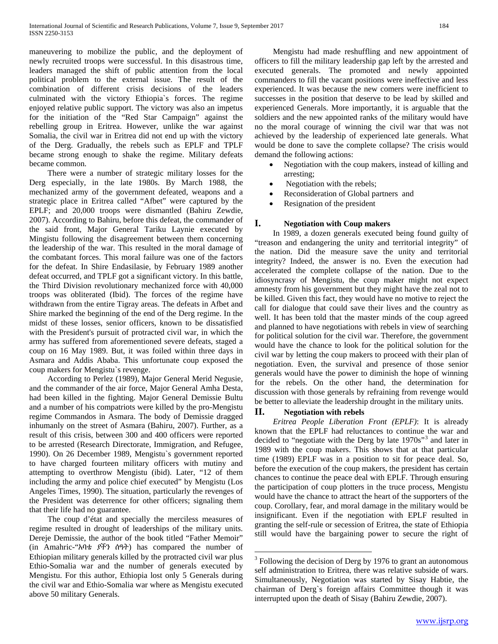maneuvering to mobilize the public, and the deployment of newly recruited troops were successful. In this disastrous time, leaders managed the shift of public attention from the local political problem to the external issue. The result of the combination of different crisis decisions of the leaders culminated with the victory Ethiopia`s forces. The regime enjoyed relative public support. The victory was also an impetus for the initiation of the "Red Star Campaign" against the rebelling group in Eritrea. However, unlike the war against Somalia, the civil war in Eritrea did not end up with the victory of the Derg. Gradually, the rebels such as EPLF and TPLF became strong enough to shake the regime. Military defeats became common.

 There were a number of strategic military losses for the Derg especially, in the late 1980s. By March 1988, the mechanized army of the government defeated, weapons and a strategic place in Eritrea called "Afbet" were captured by the EPLF; and 20,000 troops were dismantled (Bahiru Zewdie, 2007). According to Bahiru, before this defeat, the commander of the said front, Major General Tariku Laynie executed by Mingistu following the disagreement between them concerning the leadership of the war. This resulted in the moral damage of the combatant forces. This moral failure was one of the factors for the defeat. In Shire Endasilasie, by February 1989 another defeat occurred, and TPLF got a significant victory. In this battle, the Third Division revolutionary mechanized force with 40,000 troops was obliterated (Ibid). The forces of the regime have withdrawn from the entire Tigray areas. The defeats in Afbet and Shire marked the beginning of the end of the Derg regime. In the midst of these losses, senior officers, known to be dissatisfied with the President's pursuit of protracted civil war, in which the army has suffered from aforementioned severe defeats, staged a coup on 16 May 1989. But, it was foiled within three days in Asmara and Addis Ababa. This unfortunate coup exposed the coup makers for Mengistu`s revenge.

 According to Perlez (1989), Major General Merid Negusie, and the commander of the air force, Major General Amha Desta, had been killed in the fighting. Major General Demissie Bultu and a number of his compatriots were killed by the pro-Mengistu regime Commandos in Asmara. The body of Demissie dragged inhumanly on the street of Asmara (Bahiru, 2007). Further, as a result of this crisis, between 300 and 400 officers were reported to be arrested (Research Directorate, Immigration, and Refugee, 1990). On 26 December 1989, Mengistu`s government reported to have charged fourteen military officers with mutiny and attempting to overthrow Mengistu (ibid). Later, "12 of them including the army and police chief executed" by Mengistu (Los Angeles Times, 1990). The situation, particularly the revenges of the President was deterrence for other officers; signaling them that their life had no guarantee.

<span id="page-4-0"></span> The coup d'état and specially the merciless measures of regime resulted in drought of leaderships of the military units. Dereje Demissie, the author of the book titled "Father Memoir" (in Amahric-"አባቴ ያችን ሰዓት) has compared the number of Ethiopian military generals killed by the protracted civil war plus Ethio-Somalia war and the number of generals executed by Mengistu. For this author, Ethiopia lost only 5 Generals during the civil war and Ethio-Somalia war where as Mengistu executed above 50 military Generals.

 Mengistu had made reshuffling and new appointment of officers to fill the military leadership gap left by the arrested and executed generals. The promoted and newly appointed commanders to fill the vacant positions were ineffective and less experienced. It was because the new comers were inefficient to successes in the position that deserve to be lead by skilled and experienced Generals. More importantly, it is arguable that the soldiers and the new appointed ranks of the military would have no the moral courage of winning the civil war that was not achieved by the leadership of experienced late generals. What would be done to save the complete collapse? The crisis would demand the following actions:

- Negotiation with the coup makers, instead of killing and arresting;
- Negotiation with the rebels;
- Reconsideration of Global partners and
- Resignation of the president

# **I. Negotiation with Coup makers**

 In 1989, a dozen generals executed being found guilty of "treason and endangering the unity and territorial integrity" of the nation. Did the measure save the unity and territorial integrity? Indeed, the answer is no. Even the execution had accelerated the complete collapse of the nation. Due to the idiosyncrasy of Mengistu, the coup maker might not expect amnesty from his government but they might have the zeal not to be killed. Given this fact, they would have no motive to reject the call for dialogue that could save their lives and the country as well. It has been told that the master minds of the coup agreed and planned to have negotiations with rebels in view of searching for political solution for the civil war. Therefore, the government would have the chance to look for the political solution for the civil war by letting the coup makers to proceed with their plan of negotiation. Even, the survival and presence of those senior generals would have the power to diminish the hope of winning for the rebels. On the other hand, the determination for discussion with those generals by refraining from revenge would be better to alleviate the leadership drought in the military units.

# **II. Negotiation with rebels**

 *Eritrea People Liberation Front (EPLF)*: It is already known that the EPLF had reluctances to continue the war and decided to "negotiate with the Derg by late 1970s"<sup>[3](#page-3-1)</sup> and later in 1989 with the coup makers. This shows that at that particular time (1989) EPLF was in a position to sit for peace deal. So, before the execution of the coup makers, the president has certain chances to continue the peace deal with EPLF. Through ensuring the participation of coup plotters in the truce process, Mengistu would have the chance to attract the heart of the supporters of the coup. Corollary, fear, and moral damage in the military would be insignificant. Even if the negotiation with EPLF resulted in granting the self-rule or secession of Eritrea, the state of Ethiopia still would have the bargaining power to secure the right of

 $3$  Following the decision of Derg by 1976 to grant an autonomous self administration to Eritrea, there was relative subside of wars. Simultaneously, Negotiation was started by Sisay Habtie, the chairman of Derg`s foreign affairs Committee though it was interrupted upon the death of Sisay (Bahiru Zewdie, 2007).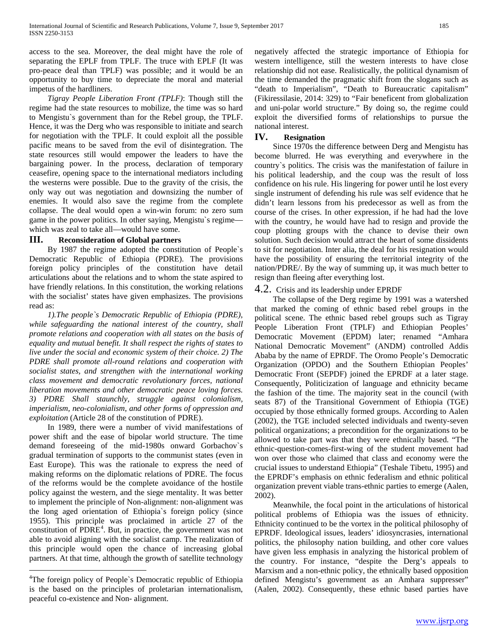access to the sea. Moreover, the deal might have the role of separating the EPLF from TPLF. The truce with EPLF (It was pro-peace deal than TPLF) was possible; and it would be an opportunity to buy time to depreciate the moral and material impetus of the hardliners.

 *Tigray People Liberation Front (TPLF)*: Though still the regime had the state resources to mobilize, the time was so hard to Mengistu`s government than for the Rebel group, the TPLF. Hence, it was the Derg who was responsible to initiate and search for negotiation with the TPLF. It could exploit all the possible pacific means to be saved from the evil of disintegration. The state resources still would empower the leaders to have the bargaining power. In the process, declaration of temporary ceasefire, opening space to the international mediators including the westerns were possible. Due to the gravity of the crisis, the only way out was negotiation and downsizing the number of enemies. It would also save the regime from the complete collapse. The deal would open a win-win forum: no zero sum game in the power politics. In other saying, Mengistu`s regime which was zeal to take all—would have some.

# **III. Reconsideration of Global partners**

 By 1987 the regime adopted the constitution of People`s Democratic Republic of Ethiopia (PDRE). The provisions foreign policy principles of the constitution have detail articulations about the relations and to whom the state aspired to have friendly relations. In this constitution, the working relations with the socialist' states have given emphasizes. The provisions read as:

 *1).The people`s Democratic Republic of Ethiopia (PDRE), while safeguarding the national interest of the country, shall promote relations and cooperation with all states on the basis of equality and mutual benefit. It shall respect the rights of states to live under the social and economic system of their choice. 2) The PDRE shall promote all-round relations and cooperation with socialist states, and strengthen with the international working class movement and democratic revolutionary forces, national liberation movements and other democratic peace loving forces. 3) PDRE Shall staunchly, struggle against colonialism, imperialism, neo-colonialism, and other forms of oppression and exploitation* (Article 28 of the constitution of PDRE).

<span id="page-5-0"></span> In 1989, there were a number of vivid manifestations of power shift and the ease of bipolar world structure. The time demand foreseeing of the mid-1980s onward Gorbachov`s gradual termination of supports to the communist states (even in East Europe). This was the rationale to express the need of making reforms on the diplomatic relations of PDRE. The focus of the reforms would be the complete avoidance of the hostile policy against the western, and the siege mentality. It was better to implement the principle of Non-alignment: non-alignment was the long aged orientation of Ethiopia`s foreign policy (since 1955). This principle was proclaimed in article 27 of the constitution of  $PDRE<sup>4</sup>$  $PDRE<sup>4</sup>$  $PDRE<sup>4</sup>$ . But, in practice, the government was not able to avoid aligning with the socialist camp. The realization of this principle would open the chance of increasing global partners. At that time, although the growth of satellite technology

negatively affected the strategic importance of Ethiopia for western intelligence, still the western interests to have close relationship did not ease. Realistically, the political dynamism of the time demanded the pragmatic shift from the slogans such as "death to Imperialism", "Death to Bureaucratic capitalism" (Fikiressilasie, 2014: 329) to "Fair beneficent from globalization and uni-polar world structure." By doing so, the regime could exploit the diversified forms of relationships to pursue the national interest.

# **IV. Resignation**

 Since 1970s the difference between Derg and Mengistu has become blurred. He was everything and everywhere in the country`s politics. The crisis was the manifestation of failure in his political leadership, and the coup was the result of loss confidence on his rule. His lingering for power until he lost every single instrument of defending his rule was self evidence that he didn't learn lessons from his predecessor as well as from the course of the crises. In other expression, if he had had the love with the country, he would have had to resign and provide the coup plotting groups with the chance to devise their own solution. Such decision would attract the heart of some dissidents to sit for negotiation. Inter alia, the deal for his resignation would have the possibility of ensuring the territorial integrity of the nation/PDRE/. By the way of summing up, it was much better to resign than fleeing after everything lost.

# 4.2. Crisis and its leadership under EPRDF

 The collapse of the Derg regime by 1991 was a watershed that marked the coming of ethnic based rebel groups in the political scene. The ethnic based rebel groups such as Tigray People Liberation Front (TPLF) and Ethiopian Peoples' Democratic Movement (EPDM) later; renamed "Amhara National Democratic Movement" (ANDM) controlled Addis Ababa by the name of EPRDF. The Oromo People's Democratic Organization (OPDO) and the Southern Ethiopian Peoples' Democratic Front (SEPDF) joined the EPRDF at a later stage. Consequently, Politicization of language and ethnicity became the fashion of the time. The majority seat in the council (with seats 87) of the Transitional Government of Ethiopia (TGE) occupied by those ethnically formed groups. According to Aalen (2002), the TGE included selected individuals and twenty-seven political organizations; a precondition for the organizations to be allowed to take part was that they were ethnically based. "The ethnic-question-comes-first-wing of the student movement had won over those who claimed that class and economy were the crucial issues to understand Ethiopia" (Teshale Tibetu, 1995) and the EPRDF's emphasis on ethnic federalism and ethnic political organization prevent viable trans-ethnic parties to emerge (Aalen, 2002).

 Meanwhile, the focal point in the articulations of historical political problems of Ethiopia was the issues of ethnicity. Ethnicity continued to be the vortex in the political philosophy of EPRDF. Ideological issues, leaders' idiosyncrasies, international politics, the philosophy nation building, and other core values have given less emphasis in analyzing the historical problem of the country. For instance, "despite the Derg's appeals to Marxism and a non-ethnic policy, the ethnically based opposition defined Mengistu's government as an Amhara suppresser" (Aalen, 2002). Consequently, these ethnic based parties have

 $\frac{1}{4}$ <sup>4</sup>The foreign policy of People's Democratic republic of Ethiopia is the based on the principles of proletarian internationalism, peaceful co-existence and Non- alignment.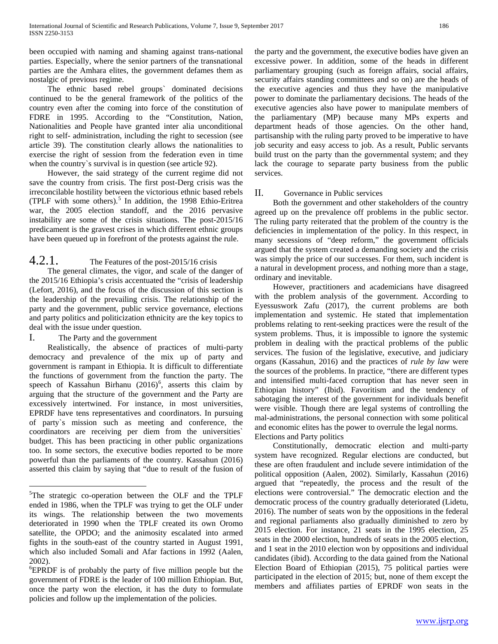been occupied with naming and shaming against trans-national parties. Especially, where the senior partners of the transnational parties are the Amhara elites, the government defames them as nostalgic of previous regime.

 The ethnic based rebel groups` dominated decisions continued to be the general framework of the politics of the country even after the coming into force of the constitution of FDRE in 1995. According to the "Constitution, Nation, Nationalities and People have granted inter alia unconditional right to self- administration, including the right to secession (see article 39). The constitution clearly allows the nationalities to exercise the right of session from the federation even in time when the country`s survival is in question (see article 92).

 However, the said strategy of the current regime did not save the country from crisis. The first post-Derg crisis was the irreconcilable hostility between the victorious ethnic based rebels (TPLF with some others).<sup>[5](#page-5-0)</sup> In addition, the 1998 Ethio-Eritrea war, the 2005 election standoff, and the 2016 pervasive instability are some of the crisis situations. The post-2015/16 predicament is the gravest crises in which different ethnic groups have been queued up in forefront of the protests against the rule.

# 4.2.1. The Features of the post-2015/16 crisis

 The general climates, the vigor, and scale of the danger of the 2015/16 Ethiopia's crisis accentuated the "crisis of leadership (Lefort, 2016), and the focus of the discussion of this section is the leadership of the prevailing crisis. The relationship of the party and the government, public service governance, elections and party politics and politicization ethnicity are the key topics to deal with the issue under question.

# I. The Party and the government

 Realistically, the absence of practices of multi-party democracy and prevalence of the mix up of party and government is rampant in Ethiopia. It is difficult to differentiate the functions of government from the function the party. The speech of Kassahun Birhanu (201[6](#page-6-0))<sup>6</sup>, asserts this claim by arguing that the structure of the government and the Party are excessively intertwined. For instance, in most universities, EPRDF have tens representatives and coordinators. In pursuing of party`s mission such as meeting and conference, the coordinators are receiving per diem from the universities` budget. This has been practicing in other public organizations too. In some sectors, the executive bodies reported to be more powerful than the parliaments of the country. Kassahun (2016) asserted this claim by saying that "due to result of the fusion of

the party and the government, the executive bodies have given an excessive power. In addition, some of the heads in different parliamentary grouping (such as foreign affairs, social affairs, security affairs standing committees and so on) are the heads of the executive agencies and thus they have the manipulative power to dominate the parliamentary decisions. The heads of the executive agencies also have power to manipulate members of the parliamentary (MP) because many MPs experts and department heads of those agencies. On the other hand, partisanship with the ruling party proved to be imperative to have job security and easy access to job. As a result, Public servants build trust on the party than the governmental system; and they lack the courage to separate party business from the public services.

# II. Governance in Public services

 Both the government and other stakeholders of the country agreed up on the prevalence off problems in the public sector. The ruling party reiterated that the problem of the country is the deficiencies in implementation of the policy. In this respect, in many secessions of "deep reform," the government officials argued that the system created a demanding society and the crisis was simply the price of our successes. For them, such incident is a natural in development process, and nothing more than a stage, ordinary and inevitable.

 However, practitioners and academicians have disagreed with the problem analysis of the government. According to Eyessuswork Zafu (2017), the current problems are both implementation and systemic. He stated that implementation problems relating to rent-seeking practices were the result of the system problems. Thus, it is impossible to ignore the systemic problem in dealing with the practical problems of the public services. The fusion of the legislative, executive, and judiciary organs (Kassahun, 2016) and the practices of *rule by law* were the sources of the problems. In practice, "there are different types and intensified multi-faced corruption that has never seen in Ethiopian history" (Ibid). Favoritism and the tendency of sabotaging the interest of the government for individuals benefit were visible. Though there are legal systems of controlling the mal-administrations, the personal connection with some political and economic elites has the power to overrule the legal norms. Elections and Party politics

 Constitutionally, democratic election and multi-party system have recognized. Regular elections are conducted, but these are often fraudulent and include severe intimidation of the political opposition (Aalen, 2002). Similarly, Kassahun (2016) argued that "repeatedly, the process and the result of the elections were controversial." The democratic election and the democratic process of the country gradually deteriorated (Lidetu, 2016). The number of seats won by the oppositions in the federal and regional parliaments also gradually diminished to zero by 2015 election. For instance, 21 seats in the 1995 election, 25 seats in the 2000 election, hundreds of seats in the 2005 election, and 1 seat in the 2010 election won by oppositions and individual candidates (ibid). According to the data gained from the National Election Board of Ethiopian (2015), 75 political parties were participated in the election of 2015; but, none of them except the members and affiliates parties of EPRDF won seats in the

<span id="page-6-0"></span> $\frac{1}{5}$  ${}^{5}$ The strategic co-operation between the OLF and the TPLF ended in 1986, when the TPLF was trying to get the OLF under its wings. The relationship between the two movements deteriorated in 1990 when the TPLF created its own Oromo satellite, the OPDO; and the animosity escalated into armed fights in the south-east of the country started in August 1991, which also included Somali and Afar factions in 1992 (Aalen,  $2002$ ).

<span id="page-6-1"></span>EPRDF is of probably the party of five million people but the government of FDRE is the leader of 100 million Ethiopian. But, once the party won the election, it has the duty to formulate policies and follow up the implementation of the policies.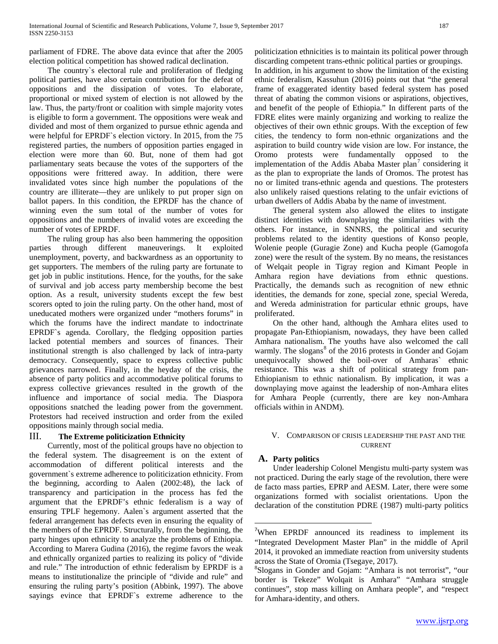parliament of FDRE. The above data evince that after the 2005 election political competition has showed radical declination.

 The country`s electoral rule and proliferation of fledging political parties, have also certain contribution for the defeat of oppositions and the dissipation of votes. To elaborate, proportional or mixed system of election is not allowed by the law. Thus, the party/front or coalition with simple majority votes is eligible to form a government. The oppositions were weak and divided and most of them organized to pursue ethnic agenda and were helpful for EPRDF`s election victory. In 2015, from the 75 registered parties, the numbers of opposition parties engaged in election were more than 60. But, none of them had got parliamentary seats because the votes of the supporters of the oppositions were frittered away. In addition, there were invalidated votes since high number the populations of the country are illiterate—they are unlikely to put proper sign on ballot papers. In this condition, the EPRDF has the chance of winning even the sum total of the number of votes for oppositions and the numbers of invalid votes are exceeding the number of votes of EPRDF.

 The ruling group has also been hammering the opposition parties through different maneuverings. It exploited unemployment, poverty, and backwardness as an opportunity to get supporters. The members of the ruling party are fortunate to get job in public institutions. Hence, for the youths, for the sake of survival and job access party membership become the best option. As a result, university students except the few best scorers opted to join the ruling party. On the other hand, most of uneducated mothers were organized under "mothers forums" in which the forums have the indirect mandate to indoctrinate EPRDF`s agenda. Corollary, the fledging opposition parties lacked potential members and sources of finances. Their institutional strength is also challenged by lack of intra-party democracy. Consequently, space to express collective public grievances narrowed. Finally, in the heyday of the crisis, the absence of party politics and accommodative political forums to express collective grievances resulted in the growth of the influence and importance of social media. The Diaspora oppositions snatched the leading power from the government. Protestors had received instruction and order from the exiled oppositions mainly through social media.

# III. **The Extreme politicization Ethnicity**

<span id="page-7-1"></span><span id="page-7-0"></span> Currently, most of the political groups have no objection to the federal system. The disagreement is on the extent of accommodation of different political interests and the government`s extreme adherence to politicization ethnicity. From the beginning, according to Aalen (2002:48), the lack of transparency and participation in the process has fed the argument that the EPRDF's ethnic federalism is a way of ensuring TPLF hegemony. Aalen`s argument asserted that the federal arrangement has defects even in ensuring the equality of the members of the EPRDF. Structurally, from the beginning, the party hinges upon ethnicity to analyze the problems of Ethiopia. According to Marera Gudina (2016), the regime favors the weak and ethnically organized parties to realizing its policy of "divide and rule." The introduction of ethnic federalism by EPRDF is a means to institutionalize the principle of "divide and rule" and ensuring the ruling party's position (Abbink, 1997). The above sayings evince that EPRDF`s extreme adherence to the politicization ethnicities is to maintain its political power through discarding competent trans-ethnic political parties or groupings.

In addition, in his argument to show the limitation of the existing ethnic federalism, Kassuhun (2016) points out that "the general frame of exaggerated identity based federal system has posed threat of abating the common visions or aspirations, objectives, and benefit of the people of Ethiopia." In different parts of the FDRE elites were mainly organizing and working to realize the objectives of their own ethnic groups. With the exception of few cities, the tendency to form non-ethnic organizations and the aspiration to build country wide vision are low. For instance, the Oromo protests were fundamentally opposed to the implementation of the Addis Ababa Master plan<sup>[7](#page-6-1)</sup> considering it as the plan to expropriate the lands of Oromos. The protest has no or limited trans-ethnic agenda and questions. The protesters also unlikely raised questions relating to the unfair evictions of urban dwellers of Addis Ababa by the name of investment.

 The general system also allowed the elites to instigate distinct identities with downplaying the similarities with the others. For instance, in SNNRS, the political and security problems related to the identity questions of Konso people, Wolenie people (Guragie Zone) and Kucha people (Gamogofa zone) were the result of the system. By no means, the resistances of Welqait people in Tigray region and Kimant People in Amhara region have deviations from ethnic questions. Practically, the demands such as recognition of new ethnic identities, the demands for zone, special zone, special Wereda, and Wereda administration for particular ethnic groups, have proliferated.

 On the other hand, although the Amhara elites used to propagate Pan-Ethiopianism, nowadays, they have been called Amhara nationalism. The youths have also welcomed the call warmly. The slogans<sup>[8](#page-7-0)</sup> of the 2016 protests in Gonder and Gojam unequivocally showed the boil-over of Amharas` ethnic resistance. This was a shift of political strategy from pan-Ethiopianism to ethnic nationalism. By implication, it was a downplaying move against the leadership of non-Amhara elites for Amhara People (currently, there are key non-Amhara officials within in ANDM).

### V. COMPARISON OF CRISIS LEADERSHIP THE PAST AND THE CURRENT

# **A. Party politics**

 Under leadership Colonel Mengistu multi-party system was not practiced. During the early stage of the revolution, there were de facto mass parties, EPRP and AESM. Later, there were some organizations formed with socialist orientations. Upon the declaration of the constitution PDRE (1987) multi-party politics

<sup>-&</sup>lt;br>7 <sup>7</sup>When EPRDF announced its readiness to implement its "Integrated Development Master Plan" in the middle of April 2014, it provoked an immediate reaction from university students across the State of Oromia (Tsegaye, 2017).

Slogans in Gonder and Gojam: "Amhara is not terrorist", "our border is Tekeze" Wolqait is Amhara" "Amhara struggle continues", stop mass killing on Amhara people", and "respect for Amhara-identity, and others.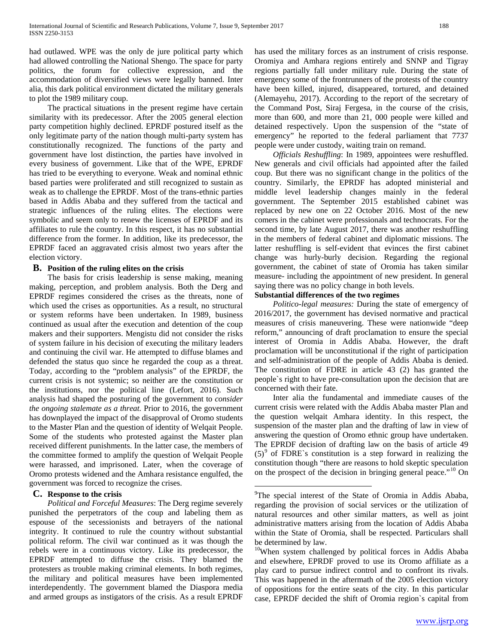had outlawed. WPE was the only de jure political party which had allowed controlling the National Shengo. The space for party politics, the forum for collective expression, and the accommodation of diversified views were legally banned. Inter alia, this dark political environment dictated the military generals to plot the 1989 military coup.

 The practical situations in the present regime have certain similarity with its predecessor. After the 2005 general election party competition highly declined. EPRDF postured itself as the only legitimate party of the nation though multi-party system has constitutionally recognized. The functions of the party and government have lost distinction, the parties have involved in every business of government. Like that of the WPE, EPRDF has tried to be everything to everyone. Weak and nominal ethnic based parties were proliferated and still recognized to sustain as weak as to challenge the EPRDF. Most of the trans-ethnic parties based in Addis Ababa and they suffered from the tactical and strategic influences of the ruling elites. The elections were symbolic and seem only to renew the licenses of EPRDF and its affiliates to rule the country. In this respect, it has no substantial difference from the former. In addition, like its predecessor, the EPRDF faced an aggravated crisis almost two years after the election victory.

### **B. Position of the ruling elites on the crisis**

 The basis for crisis leadership is sense making, meaning making, perception, and problem analysis. Both the Derg and EPRDF regimes considered the crises as the threats, none of which used the crises as opportunities. As a result, no structural or system reforms have been undertaken. In 1989, business continued as usual after the execution and detention of the coup makers and their supporters. Mengistu did not consider the risks of system failure in his decision of executing the military leaders and continuing the civil war. He attempted to diffuse blames and defended the status quo since he regarded the coup as a threat. Today, according to the "problem analysis" of the EPRDF, the current crisis is not systemic; so neither are the constitution or the institutions, nor the political line (Lefort, 2016). Such analysis had shaped the posturing of the government to *consider the ongoing stalemate as a threat.* Prior to 2016, the government has downplayed the impact of the disapproval of Oromo students to the Master Plan and the question of identity of Welqait People. Some of the students who protested against the Master plan received different punishments. In the latter case, the members of the committee formed to amplify the question of Welqait People were harassed, and imprisoned. Later, when the coverage of Oromo protests widened and the Amhara resistance engulfed, the government was forced to recognize the crises.

# **C. Response to the crisis**

<span id="page-8-1"></span><span id="page-8-0"></span> *Political and Forceful Measures*: The Derg regime severely punished the perpetrators of the coup and labeling them as espouse of the secessionists and betrayers of the national integrity. It continued to rule the country without substantial political reform. The civil war continued as it was though the rebels were in a continuous victory. Like its predecessor, the EPRDF attempted to diffuse the crisis. They blamed the protesters as trouble making criminal elements. In both regimes, the military and political measures have been implemented interdependently. The government blamed the Diaspora media and armed groups as instigators of the crisis. As a result EPRDF has used the military forces as an instrument of crisis response. Oromiya and Amhara regions entirely and SNNP and Tigray regions partially fall under military rule. During the state of emergency some of the frontrunners of the protests of the country have been killed, injured, disappeared, tortured, and detained (Alemayehu, 2017). According to the report of the secretary of the Command Post, Siraj Fergesa, in the course of the crisis, more than 600, and more than 21, 000 people were killed and detained respectively. Upon the suspension of the "state of emergency" he reported to the federal parliament that 7737 people were under custody, waiting train on remand.

 *Officials Reshuffling*: In 1989, appointees were reshuffled. New generals and civil officials had appointed after the failed coup. But there was no significant change in the politics of the country. Similarly, the EPRDF has adopted ministerial and middle level leadership changes mainly in the federal government. The September 2015 established cabinet was replaced by new one on 22 October 2016. Most of the new comers in the cabinet were professionals and technocrats. For the second time, by late August 2017, there was another reshuffling in the members of federal cabinet and diplomatic missions. The latter reshuffling is self-evident that evinces the first cabinet change was hurly-burly decision. Regarding the regional government, the cabinet of state of Oromia has taken similar measure- including the appointment of new president. In general saying there was no policy change in both levels.

# **Substantial differences of the two regimes**

 *Politico-legal measures:* During the state of emergency of 2016/2017, the government has devised normative and practical measures of crisis maneuvering. These were nationwide "deep reform," announcing of draft proclamation to ensure the special interest of Oromia in Addis Ababa. However, the draft proclamation will be unconstitutional if the right of participation and self-administration of the people of Addis Ababa is denied. The constitution of FDRE in article 43 (2) has granted the people`s right to have pre-consultation upon the decision that are concerned with their fate.

 Inter alia the fundamental and immediate causes of the current crisis were related with the Addis Ababa master Plan and the question welqait Amhara identity. In this respect, the suspension of the master plan and the drafting of law in view of answering the question of Oromo ethnic group have undertaken. The EPRDF decision of drafting law on the basis of article 49  $(5)^9$  $(5)^9$  of FDRE`s constitution is a step forward in realizing the constitution though "there are reasons to hold skeptic speculation on the prospect of the decision in bringing general peace."<sup>[10](#page-8-0)</sup> On

<sup>-&</sup>lt;br>9 <sup>9</sup>The special interest of the State of Oromia in Addis Ababa, regarding the provision of social services or the utilization of natural resources and other similar matters, as well as joint administrative matters arising from the location of Addis Ababa within the State of Oromia, shall be respected. Particulars shall be determined by law.

 $10$ When system challenged by political forces in Addis Ababa and elsewhere, EPRDF proved to use its Oromo affiliate as a play card to pursue indirect control and to confront its rivals. This was happened in the aftermath of the 2005 election victory of oppositions for the entire seats of the city. In this particular case*,* EPRDF decided the shift of Oromia region`s capital from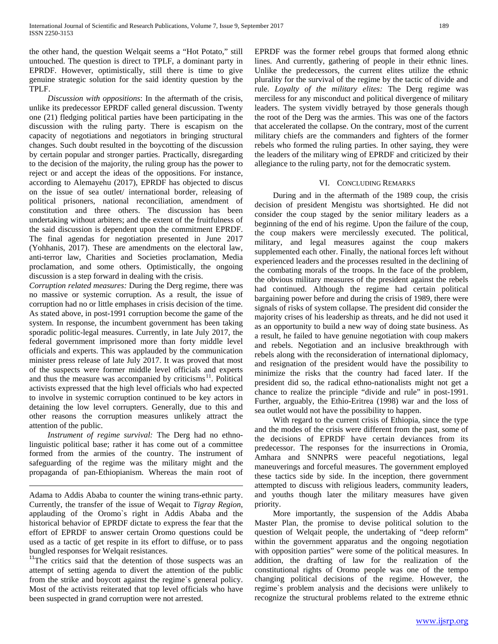the other hand, the question Welqait seems a "Hot Potato," still untouched. The question is direct to TPLF, a dominant party in EPRDF. However, optimistically, still there is time to give genuine strategic solution for the said identity question by the TPLF.

 *Discussion with oppositions*: In the aftermath of the crisis, unlike its predecessor EPRDF called general discussion. Twenty one (21) fledging political parties have been participating in the discussion with the ruling party. There is escapism on the capacity of negotiations and negotiators in bringing structural changes. Such doubt resulted in the boycotting of the discussion by certain popular and stronger parties. Practically, disregarding to the decision of the majority, the ruling group has the power to reject or and accept the ideas of the oppositions. For instance, according to Alemayehu (2017), EPRDF has objected to discus on the issue of sea outlet/ international border, releasing of political prisoners, national reconciliation, amendment of constitution and three others. The discussion has been undertaking without arbiters; and the extent of the fruitfulness of the said discussion is dependent upon the commitment EPRDF. The final agendas for negotiation presented in June 2017 (Yohhanis, 2017). These are amendments on the electoral law, anti-terror law, Charities and Societies proclamation, Media proclamation, and some others. Optimistically, the ongoing discussion is a step forward in dealing with the crisis.

*Corruption related measures:* During the Derg regime, there was no massive or systemic corruption. As a result, the issue of corruption had no or little emphases in crisis decision of the time. As stated above, in post-1991 corruption become the game of the system. In response, the incumbent government has been taking sporadic politic-legal measures. Currently, in late July 2017, the federal government imprisoned more than forty middle level officials and experts. This was applauded by the communication minister press release of late July 2017. It was proved that most of the suspects were former middle level officials and experts and thus the measure was accompanied by criticisms<sup>11</sup>. Political activists expressed that the high level officials who had expected to involve in systemic corruption continued to be key actors in detaining the low level corrupters. Generally, due to this and other reasons the corruption measures unlikely attract the attention of the public.

 *Instrument of regime survival:* The Derg had no ethnolinguistic political base; rather it has come out of a committee formed from the armies of the country. The instrument of safeguarding of the regime was the military might and the propaganda of pan-Ethiopianism. Whereas the main root of

 Adama to Addis Ababa to counter the wining trans-ethnic party. Currently, the transfer of the issue of Weqait to *Tigray Region*, applauding of the Oromo`s right in Addis Ababa and the historical behavior of EPRDF dictate to express the fear that the effort of EPRDF to answer certain Oromo questions could be used as a tactic of get respite in its effort to diffuse, or to pass

bungled responses for Welqait resistances.<br><sup>11</sup>The critics said that the detention of those suspects was an attempt of setting agenda to divert the attention of the public from the strike and boycott against the regime`s general policy. Most of the activists reiterated that top level officials who have been suspected in grand corruption were not arrested.

EPRDF was the former rebel groups that formed along ethnic lines. And currently, gathering of people in their ethnic lines. Unlike the predecessors, the current elites utilize the ethnic plurality for the survival of the regime by the tactic of divide and rule. *Loyalty of the military elites:* The Derg regime was merciless for any misconduct and political divergence of military leaders. The system vividly betrayed by those generals though the root of the Derg was the armies. This was one of the factors that accelerated the collapse. On the contrary, most of the current military chiefs are the commanders and fighters of the former rebels who formed the ruling parties. In other saying, they were the leaders of the military wing of EPRDF and criticized by their allegiance to the ruling party, not for the democratic system.

# VI. CONCLUDING REMARKS

 During and in the aftermath of the 1989 coup, the crisis decision of president Mengistu was shortsighted. He did not consider the coup staged by the senior military leaders as a beginning of the end of his regime. Upon the failure of the coup, the coup makers were mercilessly executed. The political, military, and legal measures against the coup makers supplemented each other. Finally, the national forces left without experienced leaders and the processes resulted in the declining of the combating morals of the troops. In the face of the problem, the obvious military measures of the president against the rebels had continued. Although the regime had certain political bargaining power before and during the crisis of 1989, there were signals of risks of system collapse. The president did consider the majority crises of his leadership as threats, and he did not used it as an opportunity to build a new way of doing state business. As a result, he failed to have genuine negotiation with coup makers and rebels. Negotiation and an inclusive breakthrough with rebels along with the reconsideration of international diplomacy, and resignation of the president would have the possibility to minimize the risks that the country had faced later. If the president did so, the radical ethno-nationalists might not get a chance to realize the principle "divide and rule" in post-1991. Further, arguably, the Ethio-Eritrea (1998) war and the loss of sea outlet would not have the possibility to happen.

 With regard to the current crisis of Ethiopia, since the type and the modes of the crisis were different from the past, some of the decisions of EPRDF have certain deviances from its predecessor. The responses for the insurrections in Oromia, Amhara and SNNPRS were peaceful negotiations, legal maneuverings and forceful measures. The government employed these tactics side by side. In the inception, there government attempted to discuss with religious leaders, community leaders, and youths though later the military measures have given priority.

 More importantly, the suspension of the Addis Ababa Master Plan, the promise to devise political solution to the question of Welqait people, the undertaking of "deep reform" within the government apparatus and the ongoing negotiation with opposition parties" were some of the political measures. In addition, the drafting of law for the realization of the constitutional rights of Oromo people was one of the tempo changing political decisions of the regime. However, the regime`s problem analysis and the decisions were unlikely to recognize the structural problems related to the extreme ethnic